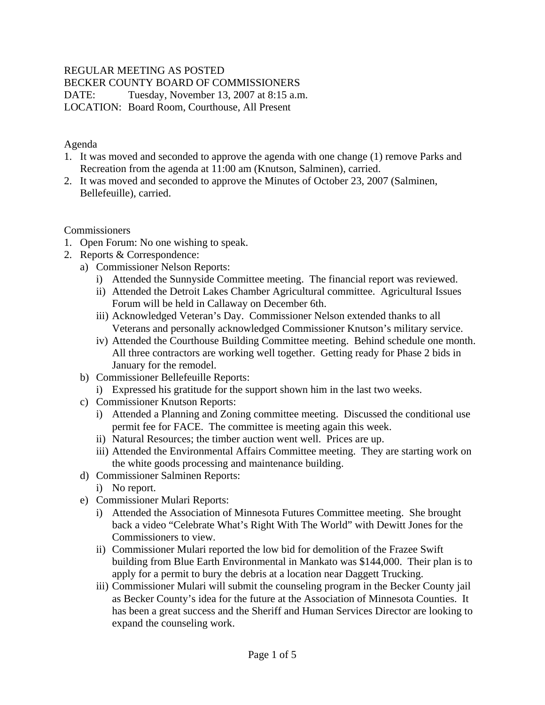#### REGULAR MEETING AS POSTED

BECKER COUNTY BOARD OF COMMISSIONERS

DATE: Tuesday, November 13, 2007 at 8:15 a.m.

LOCATION: Board Room, Courthouse, All Present

#### Agenda

- 1. It was moved and seconded to approve the agenda with one change (1) remove Parks and Recreation from the agenda at 11:00 am (Knutson, Salminen), carried.
- 2. It was moved and seconded to approve the Minutes of October 23, 2007 (Salminen, Bellefeuille), carried.

#### **Commissioners**

- 1. Open Forum: No one wishing to speak.
- 2. Reports & Correspondence:
	- a) Commissioner Nelson Reports:
		- i) Attended the Sunnyside Committee meeting. The financial report was reviewed.
		- ii) Attended the Detroit Lakes Chamber Agricultural committee. Agricultural Issues Forum will be held in Callaway on December 6th.
		- iii) Acknowledged Veteran's Day. Commissioner Nelson extended thanks to all Veterans and personally acknowledged Commissioner Knutson's military service.
		- iv) Attended the Courthouse Building Committee meeting. Behind schedule one month. All three contractors are working well together. Getting ready for Phase 2 bids in January for the remodel.
	- b) Commissioner Bellefeuille Reports:
		- i) Expressed his gratitude for the support shown him in the last two weeks.
	- c) Commissioner Knutson Reports:
		- i) Attended a Planning and Zoning committee meeting. Discussed the conditional use permit fee for FACE. The committee is meeting again this week.
		- ii) Natural Resources; the timber auction went well. Prices are up.
		- iii) Attended the Environmental Affairs Committee meeting. They are starting work on the white goods processing and maintenance building.
	- d) Commissioner Salminen Reports:
		- i) No report.
	- e) Commissioner Mulari Reports:
		- i) Attended the Association of Minnesota Futures Committee meeting. She brought back a video "Celebrate What's Right With The World" with Dewitt Jones for the Commissioners to view.
		- ii) Commissioner Mulari reported the low bid for demolition of the Frazee Swift building from Blue Earth Environmental in Mankato was \$144,000. Their plan is to apply for a permit to bury the debris at a location near Daggett Trucking.
		- iii) Commissioner Mulari will submit the counseling program in the Becker County jail as Becker County's idea for the future at the Association of Minnesota Counties. It has been a great success and the Sheriff and Human Services Director are looking to expand the counseling work.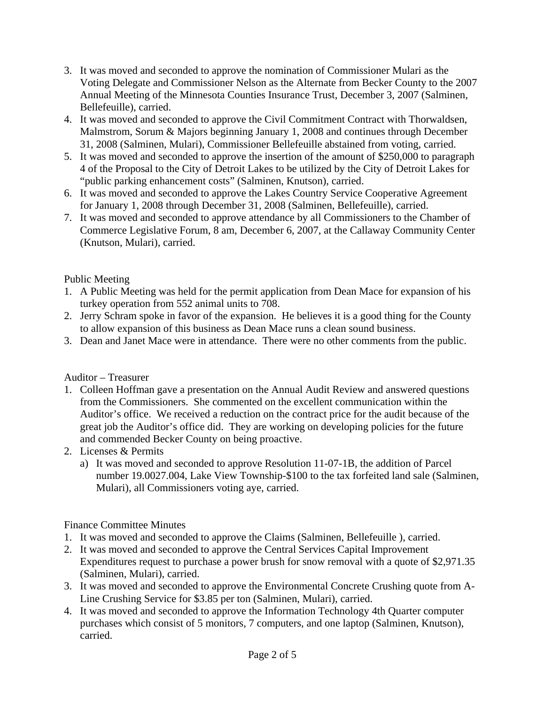- 3. It was moved and seconded to approve the nomination of Commissioner Mulari as the Voting Delegate and Commissioner Nelson as the Alternate from Becker County to the 2007 Annual Meeting of the Minnesota Counties Insurance Trust, December 3, 2007 (Salminen, Bellefeuille), carried.
- 4. It was moved and seconded to approve the Civil Commitment Contract with Thorwaldsen, Malmstrom, Sorum & Majors beginning January 1, 2008 and continues through December 31, 2008 (Salminen, Mulari), Commissioner Bellefeuille abstained from voting, carried.
- 5. It was moved and seconded to approve the insertion of the amount of \$250,000 to paragraph 4 of the Proposal to the City of Detroit Lakes to be utilized by the City of Detroit Lakes for "public parking enhancement costs" (Salminen, Knutson), carried.
- 6. It was moved and seconded to approve the Lakes Country Service Cooperative Agreement for January 1, 2008 through December 31, 2008 (Salminen, Bellefeuille), carried.
- 7. It was moved and seconded to approve attendance by all Commissioners to the Chamber of Commerce Legislative Forum, 8 am, December 6, 2007, at the Callaway Community Center (Knutson, Mulari), carried.

### Public Meeting

- 1. A Public Meeting was held for the permit application from Dean Mace for expansion of his turkey operation from 552 animal units to 708.
- 2. Jerry Schram spoke in favor of the expansion. He believes it is a good thing for the County to allow expansion of this business as Dean Mace runs a clean sound business.
- 3. Dean and Janet Mace were in attendance. There were no other comments from the public.

## Auditor – Treasurer

- 1. Colleen Hoffman gave a presentation on the Annual Audit Review and answered questions from the Commissioners. She commented on the excellent communication within the Auditor's office. We received a reduction on the contract price for the audit because of the great job the Auditor's office did. They are working on developing policies for the future and commended Becker County on being proactive.
- 2. Licenses & Permits
	- a) It was moved and seconded to approve Resolution 11-07-1B, the addition of Parcel number 19.0027.004, Lake View Township-\$100 to the tax forfeited land sale (Salminen, Mulari), all Commissioners voting aye, carried.

### Finance Committee Minutes

- 1. It was moved and seconded to approve the Claims (Salminen, Bellefeuille ), carried.
- 2. It was moved and seconded to approve the Central Services Capital Improvement Expenditures request to purchase a power brush for snow removal with a quote of \$2,971.35 (Salminen, Mulari), carried.
- 3. It was moved and seconded to approve the Environmental Concrete Crushing quote from A-Line Crushing Service for \$3.85 per ton (Salminen, Mulari), carried.
- 4. It was moved and seconded to approve the Information Technology 4th Quarter computer purchases which consist of 5 monitors, 7 computers, and one laptop (Salminen, Knutson), carried.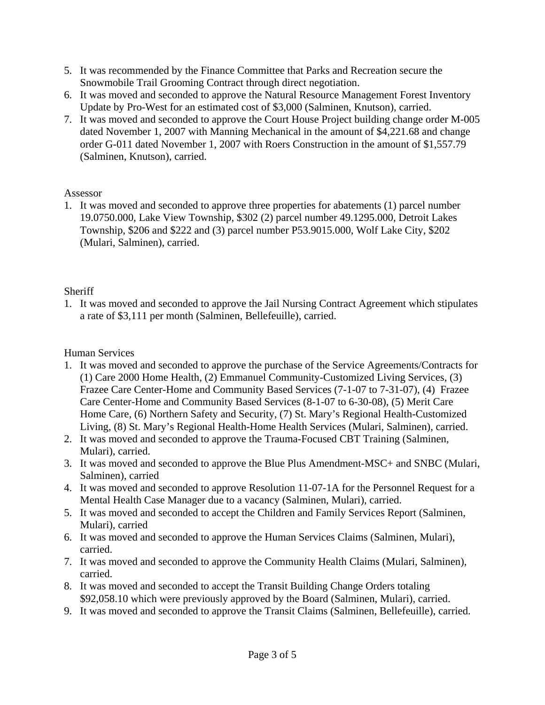- 5. It was recommended by the Finance Committee that Parks and Recreation secure the Snowmobile Trail Grooming Contract through direct negotiation.
- 6. It was moved and seconded to approve the Natural Resource Management Forest Inventory Update by Pro-West for an estimated cost of \$3,000 (Salminen, Knutson), carried.
- 7. It was moved and seconded to approve the Court House Project building change order M-005 dated November 1, 2007 with Manning Mechanical in the amount of \$4,221.68 and change order G-011 dated November 1, 2007 with Roers Construction in the amount of \$1,557.79 (Salminen, Knutson), carried.

### Assessor

1. It was moved and seconded to approve three properties for abatements (1) parcel number 19.0750.000, Lake View Township, \$302 (2) parcel number 49.1295.000, Detroit Lakes Township, \$206 and \$222 and (3) parcel number P53.9015.000, Wolf Lake City, \$202 (Mulari, Salminen), carried.

# **Sheriff**

1. It was moved and seconded to approve the Jail Nursing Contract Agreement which stipulates a rate of \$3,111 per month (Salminen, Bellefeuille), carried.

## Human Services

- 1. It was moved and seconded to approve the purchase of the Service Agreements/Contracts for (1) Care 2000 Home Health, (2) Emmanuel Community-Customized Living Services, (3) Frazee Care Center-Home and Community Based Services (7-1-07 to 7-31-07), (4) Frazee Care Center-Home and Community Based Services (8-1-07 to 6-30-08), (5) Merit Care Home Care, (6) Northern Safety and Security, (7) St. Mary's Regional Health-Customized Living, (8) St. Mary's Regional Health-Home Health Services (Mulari, Salminen), carried.
- 2. It was moved and seconded to approve the Trauma-Focused CBT Training (Salminen, Mulari), carried.
- 3. It was moved and seconded to approve the Blue Plus Amendment-MSC+ and SNBC (Mulari, Salminen), carried
- 4. It was moved and seconded to approve Resolution 11-07-1A for the Personnel Request for a Mental Health Case Manager due to a vacancy (Salminen, Mulari), carried.
- 5. It was moved and seconded to accept the Children and Family Services Report (Salminen, Mulari), carried
- 6. It was moved and seconded to approve the Human Services Claims (Salminen, Mulari), carried.
- 7. It was moved and seconded to approve the Community Health Claims (Mulari, Salminen), carried.
- 8. It was moved and seconded to accept the Transit Building Change Orders totaling \$92,058.10 which were previously approved by the Board (Salminen, Mulari), carried.
- 9. It was moved and seconded to approve the Transit Claims (Salminen, Bellefeuille), carried.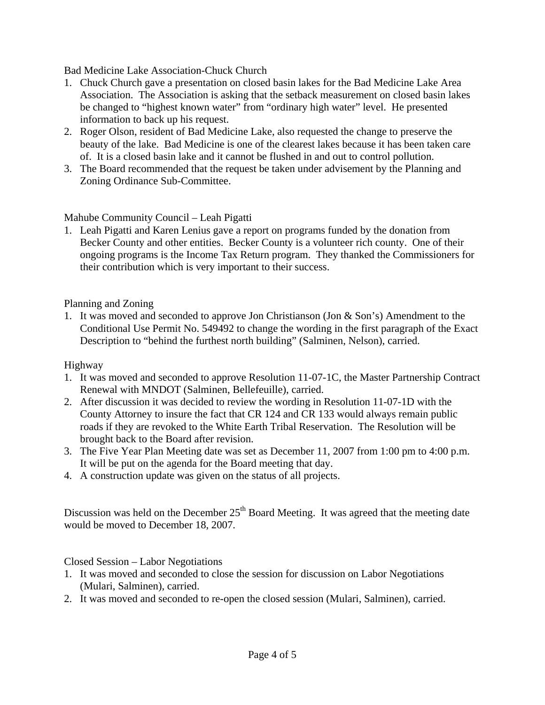Bad Medicine Lake Association-Chuck Church

- 1. Chuck Church gave a presentation on closed basin lakes for the Bad Medicine Lake Area Association. The Association is asking that the setback measurement on closed basin lakes be changed to "highest known water" from "ordinary high water" level. He presented information to back up his request.
- 2. Roger Olson, resident of Bad Medicine Lake, also requested the change to preserve the beauty of the lake. Bad Medicine is one of the clearest lakes because it has been taken care of. It is a closed basin lake and it cannot be flushed in and out to control pollution.
- 3. The Board recommended that the request be taken under advisement by the Planning and Zoning Ordinance Sub-Committee.

Mahube Community Council – Leah Pigatti

1. Leah Pigatti and Karen Lenius gave a report on programs funded by the donation from Becker County and other entities. Becker County is a volunteer rich county. One of their ongoing programs is the Income Tax Return program. They thanked the Commissioners for their contribution which is very important to their success.

Planning and Zoning

1. It was moved and seconded to approve Jon Christianson (Jon & Son's) Amendment to the Conditional Use Permit No. 549492 to change the wording in the first paragraph of the Exact Description to "behind the furthest north building" (Salminen, Nelson), carried.

Highway

- 1. It was moved and seconded to approve Resolution 11-07-1C, the Master Partnership Contract Renewal with MNDOT (Salminen, Bellefeuille), carried.
- 2. After discussion it was decided to review the wording in Resolution 11-07-1D with the County Attorney to insure the fact that CR 124 and CR 133 would always remain public roads if they are revoked to the White Earth Tribal Reservation. The Resolution will be brought back to the Board after revision.
- 3. The Five Year Plan Meeting date was set as December 11, 2007 from 1:00 pm to 4:00 p.m. It will be put on the agenda for the Board meeting that day.
- 4. A construction update was given on the status of all projects.

Discussion was held on the December  $25<sup>th</sup>$  Board Meeting. It was agreed that the meeting date would be moved to December 18, 2007.

Closed Session – Labor Negotiations

- 1. It was moved and seconded to close the session for discussion on Labor Negotiations (Mulari, Salminen), carried.
- 2. It was moved and seconded to re-open the closed session (Mulari, Salminen), carried.